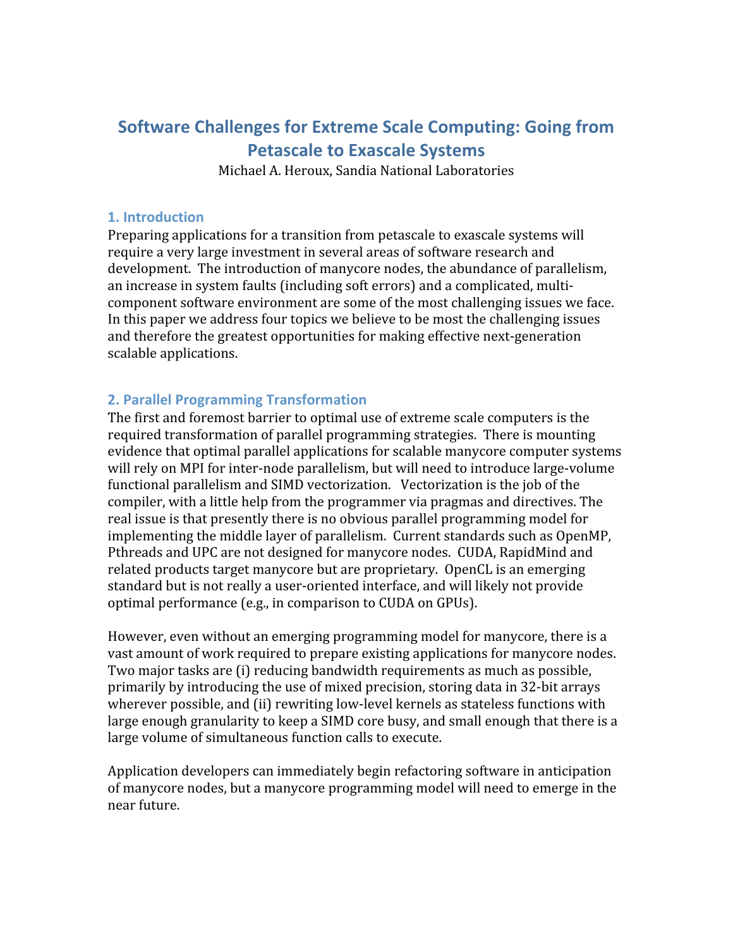# **Software
Challenges
for
Extreme
Scale
Computing:
Going
from Petascale
to
Exascale
Systems**

Michael
A.
Heroux,
Sandia
National
Laboratories

#### **1.
Introduction**

Preparing applications for a transition from petascale to exascale systems will require a very large investment in several areas of software research and development.

The
introduction
of
manycore
nodes,
the
abundance
of
parallelism, an increase in system faults (including soft errors) and a complicated, multicomponent
software
environment
are
some
of
the
most
challenging
issues
we
face. In this paper we address four topics we believe to be most the challenging issues and
therefore
the
greatest
opportunities
for
making
effective
next‐generation scalable
applications.

#### **2.
Parallel
Programming
Transformation**

The
first
and
foremost
barrier
to
optimal
use
of
extreme
scale
computers
is
the required
transformation
of
parallel
programming
strategies.

There
is
mounting evidence
that
optimal
parallel
applications
for
scalable
manycore
computer
systems will rely on MPI for inter-node parallelism, but will need to introduce large-volume functional parallelism and SIMD vectorization. Vectorization is the job of the compiler,
with
a
little
help
from
the
programmer
via
pragmas
and
directives.
The real
issue
is
that
presently
there
is
no
obvious
parallel
programming
model
for implementing the middle layer of parallelism. Current standards such as OpenMP, Pthreads and UPC are not designed for manycore nodes. CUDA, RapidMind and related
products
target
manycore
but
are
proprietary.

OpenCL
is
an
emerging standard but is not really a user-oriented interface, and will likely not provide optimal
performance
(e.g.,
in
comparison
to
CUDA
on
GPUs).

However, even without an emerging programming model for manycore, there is a vast amount of work required to prepare existing applications for manycore nodes. Two
major
tasks
are
(i)
reducing
bandwidth
requirements
as
much
as
possible, primarily
by
introducing
the
use
of
mixed
precision,
storing
data
in
32‐bit
arrays wherever possible, and (ii) rewriting low-level kernels as stateless functions with large enough granularity to keep a SIMD core busy, and small enough that there is a large
volume
of
simultaneous
function
calls
to
execute.

Application developers can immediately begin refactoring software in anticipation of
manycore
nodes,
but
a
manycore
programming
model
will
need
to
emerge
in
the near
future.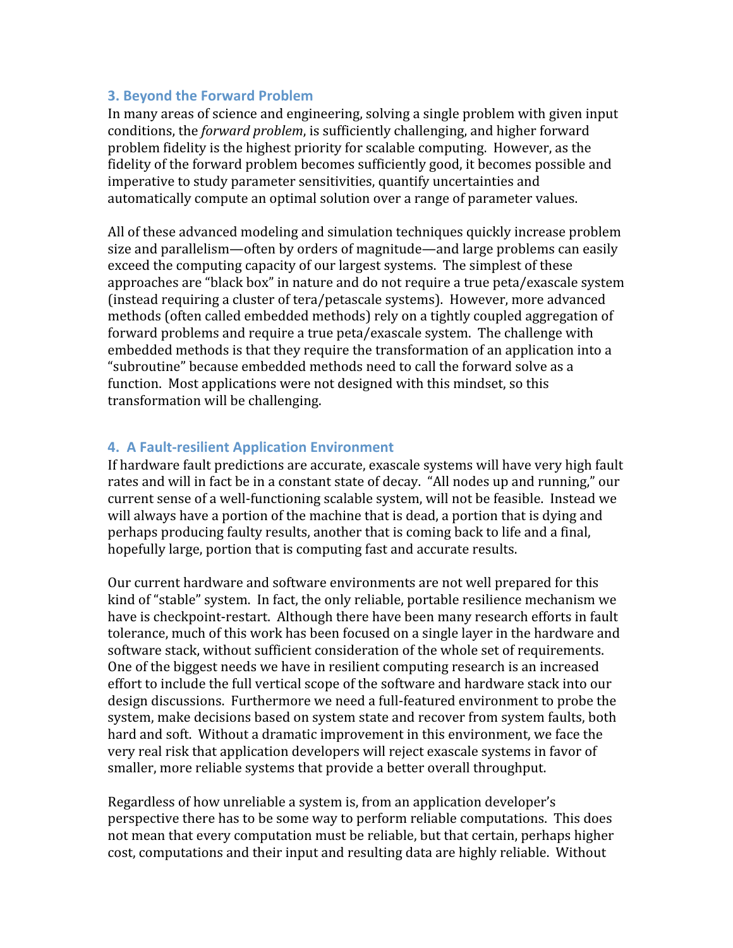#### **3. Beyond
the
Forward
Problem**

In many areas of science and engineering, solving a single problem with given input conditions,
the *forward
problem*,
is
sufficiently
challenging,
and
higher
forward problem fidelity is the highest priority for scalable computing. However, as the fidelity of the forward problem becomes sufficiently good, it becomes possible and imperative
to
study
parameter
sensitivities,
quantify
uncertainties
and automatically compute an optimal solution over a range of parameter values.

All
of
these
advanced
modeling
and
simulation
techniques
quickly
increase
problem size and parallelism—often by orders of magnitude—and large problems can easily exceed
the
computing
capacity
of
our
largest
systems.

The
simplest
of
these approaches
are
"black
box"
in
nature
and
do
not
require
a
true
peta/exascale
system (instead requiring a cluster of tera/petascale systems). However, more advanced methods
(often
called
embedded
methods)
rely
on
a
tightly
coupled
aggregation
of forward problems and require a true peta/exascale system. The challenge with embedded methods is that they require the transformation of an application into a "subroutine"
because
embedded
methods
need
to
call
the
forward
solve
as
a function. Most applications were not designed with this mindset, so this transformation
will
be
challenging.

## **4. A
Fault‐resilient
Application
Environment**

If hardware fault predictions are accurate, exascale systems will have very high fault rates and will in fact be in a constant state of decay. "All nodes up and running," our current sense of a well-functioning scalable system, will not be feasible. Instead we will always have a portion of the machine that is dead, a portion that is dying and perhaps
producing
faulty
results,
another
that
is
coming
back
to
life
and
a
final, hopefully large, portion that is computing fast and accurate results.

Our current hardware and software environments are not well prepared for this kind of "stable" system. In fact, the only reliable, portable resilience mechanism we have is checkpoint-restart. Although there have been many research efforts in fault tolerance, much of this work has been focused on a single layer in the hardware and software stack, without sufficient consideration of the whole set of requirements. One
of
the
biggest
needs
we
have
in
resilient
computing
research
is an
increased effort
to
include
the
full
vertical
scope
of
the
software
and
hardware
stack
into
our design
discussions.

Furthermore
we
need
a full‐featured
environment
to
probe
the system, make decisions based on system state and recover from system faults, both hard and soft. Without a dramatic improvement in this environment, we face the very
real
risk
that
application
developers
will
reject
exascale
systems
in
favor
of smaller,
more
reliable
systems
that
provide
a
better
overall
throughput.

Regardless
of
how
unreliable
a
system
is,
from
an
application
developer's perspective
there
has
to
be
some
way
to
perform
reliable
computations.

This
does not
mean
that
every
computation
must
be
reliable,
but
that
certain,
perhaps
higher cost,
computations
and
their
input
and
resulting
data
are
highly
reliable.

Without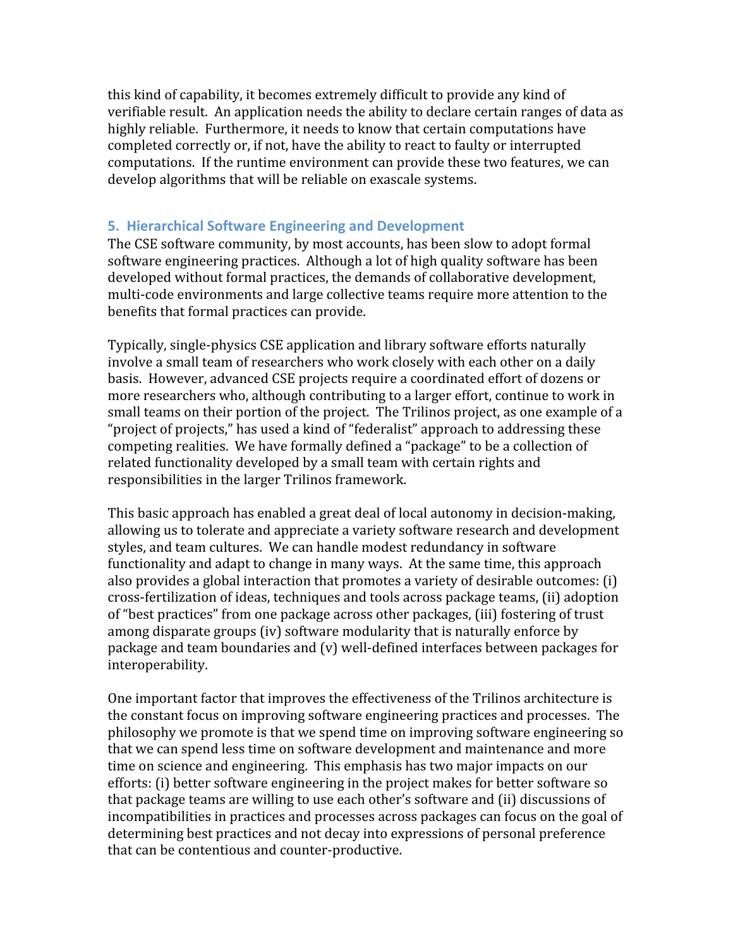this
kind
of
capability,
it
becomes
extremely
difficult
to
provide
any
kind
of verifiable result. An application needs the ability to declare certain ranges of data as highly reliable. Furthermore, it needs to know that certain computations have completed
correctly
or,
if
not,
have
the
ability
to
react
to
faulty
or
interrupted computations.

If
the
runtime
environment
can
provide
these
two
features,
we
can develop
algorithms
that
will
be
reliable
on
exascale
systems.

### **5. Hierarchical
Software
Engineering
and
Development**

The
CSE
software
community,
by
most
accounts,
has
been
slow
to
adopt
formal software engineering practices. Although a lot of high quality software has been developed without formal practices, the demands of collaborative development, multi-code environments and large collective teams require more attention to the benefits
that
formal
practices
can
provide.

Typically,
single‐physics
CSE
application
and
library
software
efforts
naturally involve a small team of researchers who work closely with each other on a daily basis.

However,
advanced
CSE
projects
require
a
coordinated
effort
of
dozens
or more
researchers
who,
although
contributing
to
a
larger
effort,
continue
to
work
in small teams on their portion of the project. The Trilinos project, as one example of a "project of projects," has used a kind of "federalist" approach to addressing these competing
realities.

We
have
formally
defined
a
"package"
to
be
a
collection
of related
functionality
developed
by
a
small
team
with
certain
rights
and responsibilities
in
the
larger
Trilinos
framework.

This basic approach has enabled a great deal of local autonomy in decision-making, allowing us to tolerate and appreciate a variety software research and development styles, and team cultures. We can handle modest redundancy in software functionality and adapt to change in many ways. At the same time, this approach also provides a global interaction that promotes a variety of desirable outcomes: (i) cross‐fertilization
of
ideas,
techniques
and
tools
across
package
teams,
(ii)
adoption of
"best
practices"
from
one
package
across
other
packages,
(iii)
fostering
of
trust among
disparate
groups
(iv)
software
modularity
that
is
naturally
enforce
by package
and
team
boundaries
and
(v)
well‐defined
interfaces
between
packages
for interoperability.

One important factor that improves the effectiveness of the Trilinos architecture is the
constant
focus
on
improving
software
engineering
practices
and
processes.

The philosophy we promote is that we spend time on improving software engineering so that
we
can
spend
less
time
on
software
development
and
maintenance
and
more time on science and engineering. This emphasis has two major impacts on our efforts: (i) better software engineering in the project makes for better software so that
package
teams
are
willing
to
use
each
other's
software
and
(ii)
discussions
of incompatibilities in practices and processes across packages can focus on the goal of determining best practices and not decay into expressions of personal preference that
can
be
contentious
and
counter‐productive.